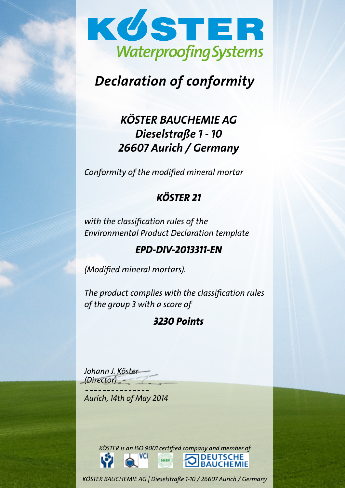

# Declaration of conformity

# KÖSTER BAUCHEMIE AG Dieselstraße 1 - 10 26607 Aurich / Germany

Conformity of the modified mineral mortar

# KÖSTER 21

with the classification rules of the Environmental Product Declaration template

# EPD-DIV-2013311-EN

(Modified mineral mortars).

The product complies with the classification rules of the group 3 with a score of

# 3230 Points

Johann J. Köster (Director)

Aurich, 14th of May 2014

KÖSTER is an ISO 9001 certified company and member of **VCI DEUTSCHE**<br>BAUCHEMIE **DHEV** 

KÖSTER BAUCHEMIE AG | Dieselstraße 1-10 / 26607 Aurich / Germany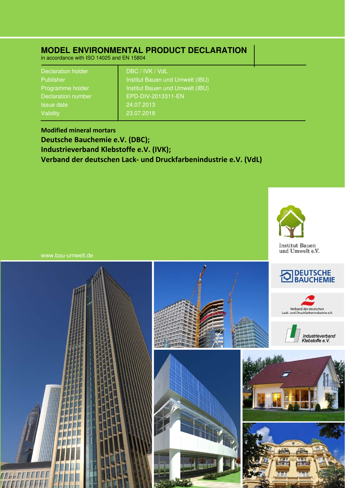## **MODEL ENVIRONMENTAL PRODUCT DECLARATION**

in accordance with ISO 14025 and EN 15804

| <b>Declaration holder</b> | DBC / IVK / VdL                 |
|---------------------------|---------------------------------|
| <b>Publisher</b>          | Institut Bauen und Umwelt (IBU) |
| Programme holder          | Institut Bauen und Umwelt (IBU) |
| Declaration number        | EPD-DIV-2013311-EN              |
| <b>Issue date</b>         | 24.07.2013                      |
| Validity                  | 23.07.2018                      |

**Modified mineral mortars Deutsche Bauchemie e.V. (DBC); Industrieverband Klebstoffe e.V. (IVK); Verband der deutschen Lack‐ und Druckfarbenindustrie e.V. (VdL)**



www.bau-umwelt.de

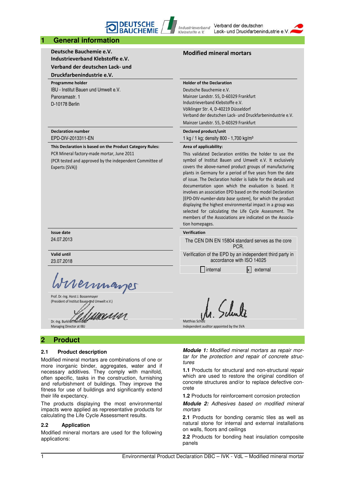### **1 General information**

**Deutsche Bauchemie e.V. Industrieverband Klebstoffe e.V.** 

**DEUTSCHE**<br>BALICHEMI

**Verband der deutschen Lack‐ und** 

### **Druckfarbenindustrie e.V.**

**Programme holder** IBU - Institut Bauen und Umwelt e.V. Panoramastr. 1 D-10178 Berlin

### **Declaration number** EPD-DIV-2013311-EN

**This Declaration is based on the Product Category Rules:** PCR Mineral factory‐made mortar, June 2011

(PCR tested and approved by the independent Committee of Experts (SVA))

### **Issue date** 24.07.2013

**Valid until**

23.07.2018

Vernnan

Prof. Dr.‐Ing. Horst J. Bossenmayer (President of Institut Bauen und Umwelt e.V.)

umasar Dr.-Ing. Burkhart

Managing Director at IBU

### **2 Product**

### **2.1 Product description**

Modified mineral mortars are combinations of one or more inorganic binder, aggregates, water and if necessary additives. They comply with manifold, often specific, tasks in the construction, furnishing and refurbishment of buildings. They improve the fitness for use of buildings and significantly extend their life expectancy.

The products displaying the most environmental impacts were applied as representative products for calculating the Life Cycle Assessment results.

### **2.2 Application**

Modified mineral mortars are used for the following applications:

### **Modified mineral mortars**

**Holder of the Declaration**

Industrieverband

Klebstoffe e.V.

Deutsche Bauchemie e.V. Mainzer Landstr. 55, D‐60329 Frankfurt Industrieverband Klebstoffe e.V. Völklinger Str. 4, D‐40219 Düsseldorf Verband der deutschen Lack‐ und Druckfarbenindustrie e.V. Mainzer Landstr. 55, D‐60329 Frankfurt

Verband der deutschen

Lack- und Druckfarbenindustrie e.

**Declared product/unit**

1 kg / 1 kg; density 800 - 1,700 kg/m³

### **Area of applicability:**

This validated Declaration entitles the holder to use the symbol of Institut Bauen und Umwelt e.V. It exclusively covers the above‐named product groups of manufacturing plants in Germany for a period of five years from the date of issue. The Declaration holder is liable for the details and documentation upon which the evaluation is based. It involves an association EPD based on the model Declaration [EPD‐DIV‐*number‐data base system*], for which the product displaying the highest environmental impact in a group was selected for calculating the Life Cycle Assessment. The members of the Associations are indicated on the Association homepages.

## **Verification**

The CEN DIN EN 15804 standard serves as the core PCR. Verification of the EPD by an independent third party in

accordance with ISO 14025

 $\Box$  internal  $\Box$  external

Matthias Sch

Independent auditor appointed by the SVA

*Module 1: Modified mineral mortars as repair mortar for the protection and repair of concrete structures* 

**1.1** Products for structural and non-structural repair which are used to restore the original condition of concrete structures and/or to replace defective concrete

**1.2** Products for reinforcement corrosion protection

*Module 2: Adhesives based on modified mineral mortars* 

**2.1** Products for bonding ceramic tiles as well as natural stone for internal and external installations on walls, floors and ceilings

**2.2** Products for bonding heat insulation composite panels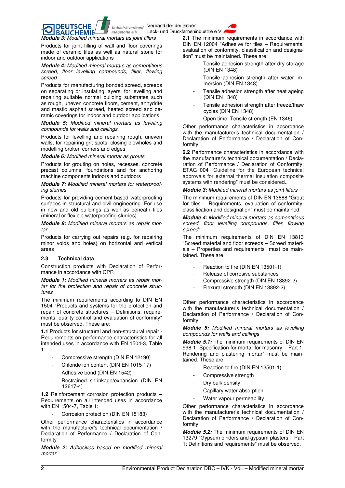

**BAUCHEMIE** *Module 3: Modified mineral mortars as joint fillers* 

Klebstoffe e.V.

**DEUTSCHE** 

Products for joint filling of wall and floor coverings made of ceramic tiles as well as natural stone for indoor and outdoor applications

*Module 4: Modified mineral mortars as cementitious screed, floor levelling compounds, filler, flowing screed* 

Products for manufacturing bonded screed, screeds on separating or insulating layers, for levelling and repairing suitable normal building substrates such as rough, uneven concrete floors, cement, anhydrite and mastic asphalt screed, heated screed and ceramic coverings for indoor and outdoor applications

*Module 5: Modified mineral mortars as levelling compounds for walls and ceilings* 

Products for levelling and repairing rough, uneven walls, for repairing grit spots, closing blowholes and modelling broken corners and edges

*Module 6: Modified mineral mortar as grouts* 

Products for grouting on holes, recesses, concrete precast columns, foundations and for anchoring machine components indoors and outdoors

*Module 7: Modified mineral mortars for waterproofing slurries* 

Products for providing cement-based waterproofing surfaces in structural and civil engineering. For use in new and old buildings as well as beneath tiles (mineral or flexible waterproofing slurries)

*Module 8: Modified mineral mortars as repair mortar* 

Products for carrying out repairs (e.g. for repairing minor voids and holes) on horizontal and vertical areas

### **2.3 Technical data**

Construction products with Declaration of Performance in accordance with CPR

*Module 1: Modified mineral mortars as repair mortar for the protection and repair of concrete structures* 

The minimum requirements according to DIN EN 1504 "Products and systems for the protection and repair of concrete structures – Definitions, requirements, quality control and evaluation of conformity" must be observed. These are:

**1.1** Products for structural and non-structural repair - Requirements on performance characteristics for all intended uses in accordance with EN 1504-3, Table 1:

- Compressive strength (DIN EN 12190)
- Chloride ion content (DIN EN 1015-17)
- Adhesive bond (DIN EN 1542)
- Restrained shrinkage/expansion (DIN EN 12617-4)

**1.2** Reinforcement corrosion protection products – Requirements on all intended uses in accordance with EN 1504-7, Table 1:

Corrosion protection (DIN EN 15183)

Other performance characteristics in accordance with the manufacturer's technical documentation / Declaration of Performance / Declaration of Conformity

*Module 2: Adhesives based on modified mineral mortar* 

**2.1** The minimum requirements in accordance with DIN EN 12004 "Adhesive for tiles – Requirements, evaluation of conformity, classification and designation" must be maintained. These are:

- Tensile adhesion strength after dry storage (DIN EN 1348)
- Tensile adhesion strength after water immersion (DIN EN 1348)
- Tensile adhesion strength after heat ageing (DIN EN 1348)
- Tensile adhesion strength after freeze/thaw cycles (DIN EN 1348)
- Open time: Tensile strength (EN 1346)

Other performance characteristics in accordance with the manufacturer's technical documentation / Declaration of Performance / Declaration of Conformity

**2.2** Performance characteristics in accordance with the manufacturer's technical documentation / Declaration of Performance / Declaration of Conformity; ETAG 004 "Guideline for the European technical approvals for external thermal insulation composite systems with rendering" must be considered..

*Module 3: Modified mineral mortars as joint fillers* 

The minimum requirements of DIN EN 13888 "Grout for tiles – Requirements, evaluation of conformity, classification and designation" must be maintained.

*Module 4: Modified mineral mortars as cementitious screed, floor levelling compounds, filler, flowing screed:* 

The minimum requirements of DIN EN 13813 "Screed material and floor screeds – Screed materials – Properties and requirements" must be maintained. These are:

- Reaction to fire (DIN EN 13501-1)
- Release of corrosive substances
- Compressive strength (DIN EN 13892-2)
- Flexural strength (DIN EN 13892-2)

Other performance characteristics in accordance with the manufacturer's technical documentation / Declaration of Performance / Declaration of Conformity

*Module 5: Modified mineral mortars as levelling compounds for walls and ceilings* 

*Module 5.1:* The minimum requirements of DIN EN 998-1 "Specification for mortar for masonry – Part 1: Rendering and plastering mortar" must be maintained. These are:

- Reaction to fire (DIN EN 13501-1)
- Compressive strength
- Dry bulk density
- Capillary water absorption
- Water vapour permeability

Other performance characteristics in accordance with the manufacturer's technical documentation / Declaration of Performance / Declaration of Conformity

*Module 5.2:* The minimum requirements of DIN EN 13279 "Gypsum binders and gypsum plasters – Part 1: Definitions and requirements" must be observed.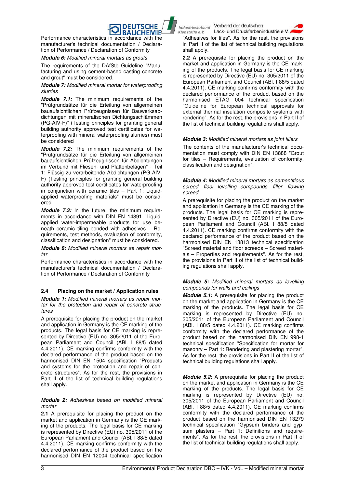

**BAUCHEMIE** Performance characteristics in accordance with the manufacturer's technical documentation / Declaration of Performance / Declaration of Conformity

### *Module 6: Modified mineral mortars as grouts*

The requirements of the DAfStb Guideline "Manufacturing and using cement-based casting concrete and grout" must be considered.

### *Module 7: Modified mineral mortar for waterproofing slurries*

*Module 7.1:* The minimum requirements of the "Prüfgrundsätze für die Erteilung von allgemeinen bauaufsichtlichen Prüfzeugnissen für Bauwerksabdichtungen mit mineralischen Dichtungsschlämmen (PG-AIV-F)" (Testing principles for granting general building authority approved test certificates for waterproofing with mineral waterproofing slurries) must be considered

*Module 7.2:* The minimum requirements of the "Prüfgrundsätze für die Erteilung von allgemeinen bauaufsichtlichen Prüfzeugnissen für Abdichtungen im Verbund mit Fliesen- und Plattenbelägen" - Teil 1: Flüssig zu verarbeitende Abdichtungen (PG-AIV-F) (Testing principles for granting general building authority approved test certificates for waterproofing in conjunction with ceramic tiles – Part 1: Liquidapplied waterproofing materials" must be considered.

*Module 7.3:* In the future, the minimum requirements in accordance with DIN EN 14891 "Liquidapplied water-impermeable products for use beneath ceramic tiling bonded with adhesives – Requirements, test methods, evaluation of conformity, classification and designation" must be considered.

*Module 8: Modified mineral mortars as repair mortar* 

Performance characteristics in accordance with the manufacturer's technical documentation / Declaration of Performance / Declaration of Conformity

### **2.4 Placing on the market / Application rules**

*Module 1: Modified mineral mortars as repair mortar for the protection and repair of concrete structures* 

A prerequisite for placing the product on the market and application in Germany is the CE marking of the products. The legal basis for CE marking is represented by Directive (EU) no. 305/2011 of the European Parliament and Council (ABl. I 88/5 dated 4.4.2011). CE marking confirms conformity with the declared performance of the product based on the harmonised DIN EN 1504 specification "Products and systems for the protection and repair of concrete structures". As for the rest, the provisions in Part II of the list of technical building regulations shall apply.

### *Module 2: Adhesives based on modified mineral mortar*

**2.1** A prerequisite for placing the product on the market and application in Germany is the CE marking of the products. The legal basis for CE marking is represented by Directive (EU) no. 305/2011 of the European Parliament and Council (ABl. I 88/5 dated 4.4.2011). CE marking confirms conformity with the declared performance of the product based on the harmonised DIN EN 12004 technical specification

Industrieverband Verband der deutschen Lack- und Druckfarbenindustrie e.V

Klebstoffe e.V. "Adhesives for tiles". As for the rest, the provisions in Part II of the list of technical building regulations shall apply.

**2.2** A prerequisite for placing the product on the market and application in Germany is the CE marking of the products. The legal basis for CE marking is represented by Directive (EU) no. 305/2011 of the European Parliament and Council (ABl. I 88/5 dated 4.4.2011). CE marking confirms conformity with the declared performance of the product based on the harmonised ETAG 004 technical specification "Guideline for European technical approvals for external thermal insulation composite systems with rendering". As for the rest, the provisions in Part II of the list of technical building regulations shall apply.

### *Module 3: Modified mineral mortars as joint fillers*

The contents of the manufacturer's technical documentation must comply with DIN EN 13888 "Grout for tiles – Requirements, evaluation of conformity, classification and designation".

### *Module 4: Modified mineral mortars as cementitious screed, floor levelling compounds, filler, flowing screed*

A prerequisite for placing the product on the market and application in Germany is the CE marking of the products. The legal basis for CE marking is represented by Directive (EU) no. 305/2011 of the European Parliament and Council (ABl. I 88/5 dated 4.4.2011). CE marking confirms conformity with the declared performance of the product based on the harmonised DIN EN 13813 technical specification "Screed material and floor screeds – Screed materials – Properties and requirements". As for the rest, the provisions in Part II of the list of technical building regulations shall apply.

### *Module 5: Modified mineral mortars as levelling compounds for walls and ceilings*

*Module 5.1:* A prerequisite for placing the product on the market and application in Germany is the CE marking of the products. The legal basis for CE marking is represented by Directive (EU) no. 305/2011 of the European Parliament and Council (ABl. I 88/5 dated 4.4.2011). CE marking confirms conformity with the declared performance of the product based on the harmonised DIN EN 998-1 technical specification "Specification for mortar for masonry – Part 1: Rendering and plastering mortar". As for the rest, the provisions in Part II of the list of technical building regulations shall apply.

*Module 5.2:* A prerequisite for placing the product on the market and application in Germany is the CE marking of the products. The legal basis for CE marking is represented by Directive (EU) no. 305/2011 of the European Parliament and Council (ABl. I 88/5 dated 4.4.2011). CE marking confirms conformity with the declared performance of the product based on the harmonised DIN EN 13279 technical specification "Gypsum binders and gypsum plasters – Part 1: Definitions and requirements". As for the rest, the provisions in Part II of the list of technical building regulations shall apply.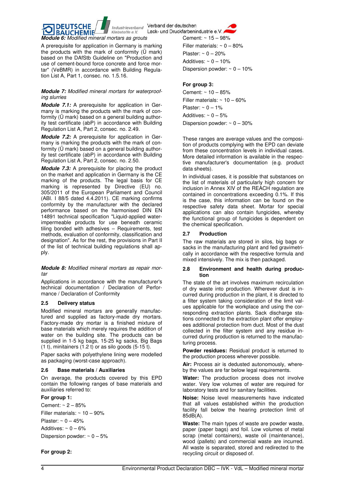

Lack- und Druckfarbenindustrie e.V.



A prerequisite for application in Germany is marking the products with the mark of conformity (Ü mark) based on the DAfStb Guideline on "Production and use of cement-bound force concrete and force mortar" (VeBMR) in accordance with Building Regulation List A, Part 1, consec. no. 1.5.16.

### *Module 7: Modified mineral mortars for waterproofing slurries*

*Module 7.1:* A prerequisite for application in Germany is marking the products with the mark of conformity (Ü mark) based on a general building authority test certificate (abP) in accordance with Building Regulation List A, Part 2, consec. no. 2.49.

*Module 7.2:* A prerequisite for application in Germany is marking the products with the mark of conformity (Ü mark) based on a general building authority test certificate (abP) in accordance with Building Regulation List A, Part 2, consec. no. 2.50.

*Module 7.3:* A prerequisite for placing the product on the market and application in Germany is the CE marking of the products. The legal basis for CE marking is represented by Directive (EU) no. 305/2011 of the European Parliament and Council (ABl. I 88/5 dated 4.4.2011). CE marking confirms conformity by the manufacturer with the declared performance based on the harmonised DIN EN 14891 technical specification "Liquid-applied waterimpermeable products for use beneath ceramic tiling bonded with adhesives – Requirements, test methods, evaluation of conformity, classification and designation". As for the rest, the provisions in Part II of the list of technical building regulations shall apply.

*Module 8: Modified mineral mortars as repair mortar* 

Applications in accordance with the manufacturer's technical documentation / Declaration of Performance / Declaration of Conformity

### **2.5 Delivery status**

Modified mineral mortars are generally manufactured and supplied as factory-made dry mortars. Factory-made dry mortar is a finished mixture of base materials which merely requires the addition of water on the building site. The products can be supplied in 1-5 kg bags, 15-25 kg sacks, Big Bags (1 t), minitainers (1.2 t) or as silo goods (5-15 t).

Paper sacks with polyethylene lining were modelled as packaging (worst-case approach).

### **2.6 Base materials / Auxiliaries**

On average, the products covered by this EPD contain the following ranges of base materials and auxiliaries referred to:

### **For group 1:**

Cement: ~ 2 – 85% Filler materials:  $\sim 10 - 90\%$ Plaster:  $\sim 0 - 45\%$ Additives:  $\sim 0 - 6\%$ 

Dispersion powder:  $\sim 0 - 5\%$ 

Cement: ~ 15 – 98% Filler materials:  $\sim 0 - 80\%$ Plaster:  $\sim 0 - 20\%$ Additives:  $\sim 0 - 10\%$ Dispersion powder:  $\sim 0 - 10\%$ 

### **For group 3:**

Cement: ~ 10 – 85% Filler materials:  $\sim 10 - 60\%$ Plaster:  $\sim 0 - 1\%$ Additives:  $\sim 0 - 5\%$ Dispersion powder:  $\sim 0 - 30\%$ 

These ranges are average values and the composition of products complying with the EPD can deviate from these concentration levels in individual cases. More detailed information is available in the respective manufacturer's documentation (e.g. product data sheets).

In individual cases, it is possible that substances on the list of materials of particularly high concern for inclusion in Annex XIV of the REACH regulation are contained in concentrations exceeding 0.1%. If this is the case, this information can be found on the respective safety data sheet. Mortar for special applications can also contain fungicides, whereby the functional group of fungicides is dependent on the chemical specification.

### **2.7 Production**

The raw materials are stored in silos, big bags or sacks in the manufacturing plant and fed gravimetrically in accordance with the respective formula and mixed intensively. The mix is then packaged.

### **2.8 Environment and health during production**

The state of the art involves maximum recirculation of dry waste into production. Wherever dust is incurred during production in the plant, it is directed to a filter system taking consideration of the limit values applicable for the workplace and using the corresponding extraction plants. Sack discharge stations connected to the extraction plant offer employees additional protection from duct. Most of the dust collected in the filter system and any residue incurred during production is returned to the manufacturing process.

**Powder residues:** Residual product is returned to the production process wherever possible.

**Air:** Process air is dedusted autonomously, whereby the values are far below legal requirements.

**Water:** The production process does not involve water. Very low volumes of water are required for laboratory tests and for sanitary facilities.

**Noise:** Noise level measurements have indicated that all values established within the production facility fall below the hearing protection limit of 85dB(A).

**Waste:** The main types of waste are powder waste, paper (paper bags) and foil. Low volumes of metal scrap (metal containers), waste oil (maintenance), wood (pallets) and commercial waste are incurred. All waste is separated, stored and redirected to the recycling circuit or disposed of.

**For group 2:**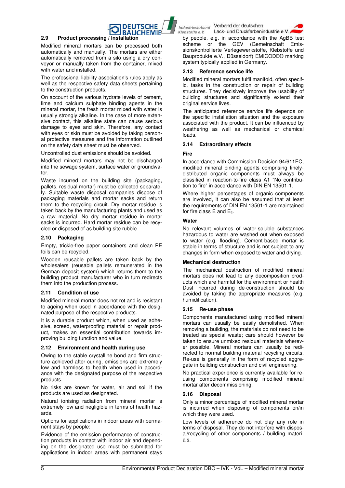

### **2.9 Product processing / Installation**

Modified mineral mortars can be processed both automatically and manually. The mortars are either automatically removed from a silo using a dry conveyor or manually taken from the container, mixed with water and installed.

The professional liability association's rules apply as well as the respective safety data sheets pertaining to the construction products.

On account of the various hydrate levels of cement, lime and calcium sulphate binding agents in the mineral mortar, the fresh mortar mixed with water is usually strongly alkaline. In the case of more extensive contact, this alkaline state can cause serious damage to eyes and skin. Therefore, any contact with eyes or skin must be avoided by taking personal protective measures and the information outlined on the safety data sheet must be observed.

Uncontrolled dust emissions should be avoided.

Modified mineral mortars may not be discharged into the sewage system, surface water or groundwater.

Waste incurred on the building site (packaging, pallets, residual mortar) must be collected separately. Suitable waste disposal companies dispose of packaging materials and mortar sacks and return them to the recycling circuit. Dry mortar residue is taken back by the manufacturing plants and used as a raw material. No dry mortar residue in mortar sacks is incurred. Hard mortar residue can be recycled or disposed of as building site rubble.

### **2.10 Packaging**

Empty, trickle-free paper containers and clean PE foils can be recycled.

Wooden reusable pallets are taken back by the wholesalers (reusable pallets remunerated in the German deposit system) which returns them to the building product manufacturer who in turn redirects them into the production process.

### **2.11 Condition of use**

Modified mineral mortar does not rot and is resistant to ageing when used in accordance with the designated purpose of the respective products.

It is a durable product which, when used as adhesive, screed, waterproofing material or repair product, makes an essential contribution towards improving building function and value.

### **2.12 Environment and health during use**

Owing to the stable crystalline bond and firm structure achieved after curing, emissions are extremely low and harmless to health when used in accordance with the designated purpose of the respective products.

No risks are known for water, air and soil if the products are used as designated.

Natural ionising radiation from mineral mortar is extremely low and negligible in terms of health hazards.

Options for applications in indoor areas with permanent stays by people:

Evidence of the emission performance of construction products in contact with indoor air and depending on the designated use must be submitted for applications in indoor areas with permanent stays

Industrieverband Verband der deutschen Lack- und Druckfarbenindustrie e. Klebstoffe e.V.

by people, e.g. in accordance with the AgBB test scheme or the GEV (Gemeinschaft Emissionskontrollierte Verlegewerkstoffe, Klebstoffe und Bauprodukte e.V., Düsseldorf) EMICODE® marking system typically applied in Germany.

### **2.13 Reference service life**

Modified mineral mortars fulfil manifold, often specific, tasks in the construction or repair of building structures. They decisively improve the usability of building structures and significantly extend their original service lives.

The anticipated reference service life depends on the specific installation situation and the exposure associated with the product. It can be influenced by weathering as well as mechanical or chemical loads.

### **2.14 Extraordinary effects**

### **Fire**

In accordance with Commission Decision 94/611EC, modified mineral binding agents comprising finelydistributed organic components must always be classified in reaction-to-fire class A1 "No contribution to fire" in accordance with DIN EN 13501-1.

Where higher percentages of organic components are involved, it can also be assumed that at least the requirements of DIN EN 13501-1 are maintained for fire class  $E$  and  $E_{fl}$ .

### **Water**

No relevant volumes of water-soluble substances hazardous to water are washed out when exposed to water (e.g. flooding). Cement-based mortar is stable in terms of structure and is not subject to any changes in form when exposed to water and drying.

### **Mechanical destruction**

The mechanical destruction of modified mineral mortars does not lead to any decomposition products which are harmful for the environment or health Dust incurred during de-construction should be avoided by taking the appropriate measures (e.g. humidification).

### **2.15 Re-use phase**

Components manufactured using modified mineral mortars can usually be easily demolished. When removing a building, the materials do not need to be treated as special waste; care should however be taken to ensure unmixed residual materials wherever possible. Mineral mortars can usually be redirected to normal building material recycling circuits. Re-use is generally in the form of recycled aggregate in building construction and civil engineering.

No practical experience is currently available for reusing components comprising modified mineral mortar after decommissioning.

### **2.16 Disposal**

Only a minor percentage of modified mineral mortar is incurred when disposing of components on/in which they were used.

Low levels of adherence do not play any role in terms of disposal. They do not interfere with disposal/recycling of other components / building materials.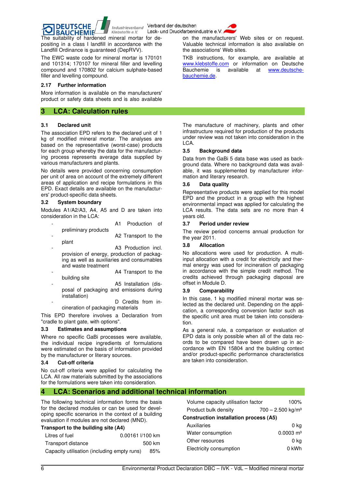

Industrieverband Verband der deutschen Lack- und Druckfarbenindustrie e.V.



Valuable technical information is also available on

TKB instructions, for example, are available at www.klebstoffe.com or information on Deutsche Bauchemie is available at www.deutsche-

The suitability of hardened mineral mortar for depositing in a class I landfill in accordance with the Landfill Ordinance is guaranteed (DepRVV).

The EWC waste code for mineral mortar is 170101 and 101314; 170107 for mineral filler and levelling compound and 170802 for calcium sulphate-based filler and levelling compound.

### **2.17 Further information**

More information is available on the manufacturers' product or safety data sheets and is also available

### **3 LCA: Calculation rules**

### **3.1 Declared unit**

The association EPD refers to the declared unit of 1 kg of modified mineral mortar. The analyses are based on the representative (worst-case) products for each group whereby the data for the manufacturing process represents average data supplied by various manufacturers and plants.

No details were provided concerning consumption per unit of area on account of the extremely different areas of application and recipe formulations in this EPD. Exact details are available on the manufacturers' product-specific data sheets.

### **3.2 System boundary**

Modules A1/A2/A3, A4, A5 and D are taken into consideration in the LCA:

|                      | Production of       |  |
|----------------------|---------------------|--|
| preliminary products |                     |  |
|                      | A2 Transport to the |  |

- plant A3 Production incl. provision of energy, production of packag-
- ing as well as auxiliaries and consumables and waste treatment A4 Transport to the
- building site
- A5 Installation (disposal of packaging and emissions during installation)
	- D Credits from in-
	- cineration of packaging materials

This EPD therefore involves a Declaration from "cradle to plant gate, with options".

### **3.3 Estimates and assumptions**

Where no specific GaBi processes were available, the individual recipe ingredients of formulations were estimated on the basis of information provided by the manufacturer or literary sources.

### **3.4 Cut-off criteria**

No cut-off criteria were applied for calculating the LCA. All raw materials submitted by the associations for the formulations were taken into consideration.

The manufacture of machinery, plants and other infrastructure required for production of the products under review was not taken into consideration in the

### **3.5 Background data**

the associations' Web sites.

bauchemie.de.

LCA.

Data from the GaBi 5 data base was used as background data. Where no background data was available, it was supplemented by manufacturer information and literary research.

### **3.6 Data quality**

Representative products were applied for this model EPD and the product in a group with the highest environmental impact was applied for calculating the LCA results. The data sets are no more than 4 years old.

### **3.7 Period under review**

The review period concerns annual production for the year 2011.

### **3.8 Allocation**

No allocations were used for production. A multiinput allocation with a credit for electricity and thermal energy was used for incineration of packaging in accordance with the simple credit method. The credits achieved through packaging disposal are offset in Module D.

### **3.9 Comparability**

In this case, 1 kg modified mineral mortar was selected as the declared unit. Depending on the application, a corresponding conversion factor such as the specific unit area must be taken into consideration.

As a general rule, a comparison or evaluation of EPD data is only possible when all of the data records to be compared have been drawn up in accordance with EN 15804 and the building context and/or product-specific performance characteristics are taken into consideration.

### **4 LCA: Scenarios and additional technical information**

The following technical information forms the basis for the declared modules or can be used for developing specific scenarios in the context of a building evaluation if modules are not declared (MND).

### **Transport to the building site (A4)**  Litres of fuel 0.00161 l/100 km

|                                             | 0.0010171700 |
|---------------------------------------------|--------------|
| Transport distance                          | 500 km       |
| Capacity utilisation (including empty runs) | 85%          |

| Volume capacity utilisation factor            | 100%                            |  |  |  |
|-----------------------------------------------|---------------------------------|--|--|--|
| Product bulk density                          | $700 - 2.500$ kg/m <sup>3</sup> |  |  |  |
| <b>Construction installation process (A5)</b> |                                 |  |  |  |
| Auxiliaries                                   | 0 ka                            |  |  |  |
| Water consumption                             | $0.0003 \text{ m}^3$            |  |  |  |
| Other resources                               | 0 ka                            |  |  |  |
| Electricity consumption                       | 0 kWh                           |  |  |  |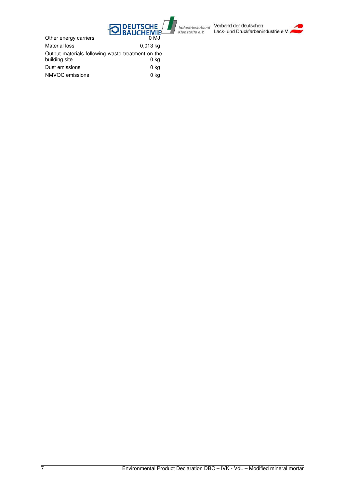

Verband der deutschen Lack- und Druckfarbenindustrie e.V.

Other energy carriers **DEAUCHEMIE**<br>0 MJ Material loss 0,013 kg Output materials following waste treatment on the building site and the control of the building site of the control of the control of the control of the control of the control of the control of the control of the control of the control of the control of the control of the

| סוופ אווחסוואס  | v nu |
|-----------------|------|
| Dust emissions  | 0 ka |
| NMVOC emissions | 0 ka |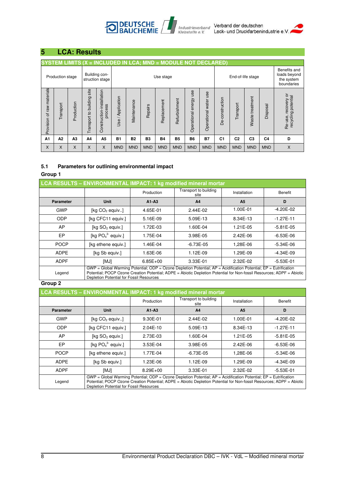### **DEUTSCHE**<br>BAUCHEMIE Industrieverband Klebstoffe e.V.



## **5 LCA: Results**

### **SYSTEM LIMITS (X = INCLUDED IN LCA; MND = MODULE NOT DECLARED)** Benefits and Production stage Building conloads beyond Building con-<br>struction stage latest stage Use stage and the End-of-life stage the system boundaries Provision of raw materials Transport to building site Transport to building site Construction-installation Operational energy use Provision of raw materials tion Operational energy use Operational water use Operational water use Re-use, recovery or<br>recycling potential Re-use, recovery or recycling potential Use / Application Construction-installat Waste treatment Use / Application De-construction Waste treatment De-construction Refurbishment Maintenance Refurbishment Maintenance Replacement Replacement Transport Production Transport Disposal Repairs process **A1 A2 A3 A4 A5 B1 B2 B3 B4 B5 B6 B7 C1 C2 C3 C4 D**  X X X X X MND MND MND MND MND MND MND MND MND MND MND X

### **5.1 Parameters for outlining environmental impact**

### **Group 1**

| LCA RESULTS - ENVIRONMENTAL IMPACT: 1 kg modified mineral mortar |                                                                                                                                                                                                                                                                                        |            |                               |                |               |
|------------------------------------------------------------------|----------------------------------------------------------------------------------------------------------------------------------------------------------------------------------------------------------------------------------------------------------------------------------------|------------|-------------------------------|----------------|---------------|
|                                                                  |                                                                                                                                                                                                                                                                                        | Production | Transport to building<br>site | Installation   | Benefit       |
| <b>Parameter</b>                                                 | Unit                                                                                                                                                                                                                                                                                   | $A1-A3$    | A <sub>4</sub>                | A <sub>5</sub> | D             |
| <b>GWP</b>                                                       | [kg $CO2$ equiv]                                                                                                                                                                                                                                                                       | 4.65E-01   | $2.44E-02$                    | 1.00E-01       | -4.20E-02     |
| <b>ODP</b>                                                       | [kg CFC11 equiv.]                                                                                                                                                                                                                                                                      | 5.16E-09   | 5.09E-13                      | 8.34E-13       | $-1.27E - 11$ |
| AP                                                               | [kg SO <sub>2</sub> equiv.]                                                                                                                                                                                                                                                            | 1.72E-03   | 1.60E-04                      | 1.21E-05       | $-5.81E-05$   |
| EP                                                               | [kg $PO43$ equiv.]                                                                                                                                                                                                                                                                     | 1.75E-04   | 3.98E-05                      | 2.42E-06       | $-6.53E-06$   |
| <b>POCP</b>                                                      | [kg ethene equiv.]                                                                                                                                                                                                                                                                     | 1.46E-04   | $-6.73E-05$                   | 1,28E-06       | $-5.34E-06$   |
| <b>ADPE</b>                                                      | [kg Sb equiv.]                                                                                                                                                                                                                                                                         | 1.63E-06   | 1.12E-09                      | 1.29E-09       | $-4.34E-09$   |
| <b>ADPF</b>                                                      | [MJ]                                                                                                                                                                                                                                                                                   | $6.85E+00$ | 3.33E-01                      | 2.32E-02       | $-5.53E-01$   |
| Legend                                                           | GWP = Global Warming Potential; ODP = Ozone Depletion Potential; AP = Acidification Potential; EP = Eutrification<br>Potential: POCP Ozone Creation Potential: ADPE = Abiotic Depletion Potential for Non-fossil Resources: ADPF = Abiotic<br>Depletion Potential for Fossil Resources |            |                               |                |               |

### **Group 2**

| LCA RESULTS - ENVIRONMENTAL IMPACT: 1 kg modified mineral mortar |                                                                                                                                                                                                                                                                                           |              |                               |                |               |
|------------------------------------------------------------------|-------------------------------------------------------------------------------------------------------------------------------------------------------------------------------------------------------------------------------------------------------------------------------------------|--------------|-------------------------------|----------------|---------------|
|                                                                  |                                                                                                                                                                                                                                                                                           | Production   | Transport to building<br>site | Installation   | Benefit       |
| <b>Parameter</b>                                                 | Unit                                                                                                                                                                                                                                                                                      | $A1-A3$      | A <sub>4</sub>                | A <sub>5</sub> | D             |
| <b>GWP</b>                                                       | [kg $CO2$ equiv]                                                                                                                                                                                                                                                                          | 9.30E-01     | 2.44E-02                      | 1.00E-01       | $-4.20E - 02$ |
| <b>ODP</b>                                                       | [kg CFC11 equiv.]                                                                                                                                                                                                                                                                         | $2.04E-10$   | 5.09E-13                      | 8.34E-13       | $-1.27E - 11$ |
| AP                                                               | [kg SO <sub>2</sub> equiv.]                                                                                                                                                                                                                                                               | 2.73E-03     | 1.60E-04                      | 1.21E-05       | $-5.81E-05$   |
| EP                                                               | [kg $PO43$ equiv.]                                                                                                                                                                                                                                                                        | 3.53E-04     | 3.98E-05                      | 2.42E-06       | $-6.53E-06$   |
| <b>POCP</b>                                                      | [kg ethene equiv.]                                                                                                                                                                                                                                                                        | 1.77E-04     | $-6.73E - 05$                 | 1,28E-06       | -5.34E-06     |
| <b>ADPE</b>                                                      | [kg Sb equiv.]                                                                                                                                                                                                                                                                            | 1.23E-06     | 1.12E-09                      | 1.29E-09       | $-4.34E-09$   |
| <b>ADPF</b>                                                      | [MJ]                                                                                                                                                                                                                                                                                      | $8.29E + 00$ | 3.33E-01                      | 2.32E-02       | $-5.53E-01$   |
| Legend                                                           | $GWP = Global Warning Potential$ ; ODP = Ozone Depletion Potential; AP = Acidification Potential; EP = Eutrification<br>Potential: POCP Ozone Creation Potential: ADPE = Abiotic Depletion Potential for Non-fossil Resources: ADPF = Abiotic<br>Depletion Potential for Fossil Resources |              |                               |                |               |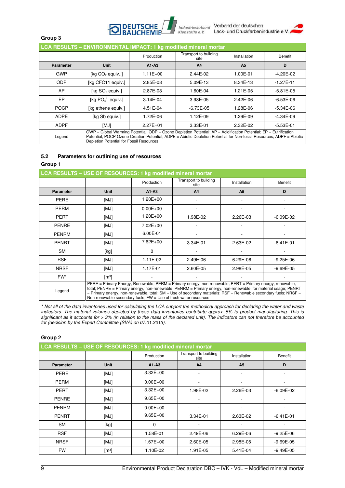

Verband der deutschen Lack- und Druckfarbenindustrie e.

### **Group 3**

| LCA RESULTS - ENVIRONMENTAL IMPACT: 1 kg modified mineral mortar |                                                                                                                                                                                                                                                                                        |              |                               |                |               |
|------------------------------------------------------------------|----------------------------------------------------------------------------------------------------------------------------------------------------------------------------------------------------------------------------------------------------------------------------------------|--------------|-------------------------------|----------------|---------------|
|                                                                  |                                                                                                                                                                                                                                                                                        | Production   | Transport to building<br>site | Installation   | Benefit       |
| <b>Parameter</b>                                                 | Unit                                                                                                                                                                                                                                                                                   | $A1-A3$      | A <sub>4</sub>                | A <sub>5</sub> | D             |
| <b>GWP</b>                                                       | [kg $CO2$ equiv]                                                                                                                                                                                                                                                                       | $1.11E + 00$ | 2.44E-02                      | 1.00E-01       | $-4.20E - 02$ |
| <b>ODP</b>                                                       | [kg CFC11 equiv.]                                                                                                                                                                                                                                                                      | 2.85E-08     | 5.09E-13                      | 8.34E-13       | $-1.27E - 11$ |
| AP                                                               | [kg SO <sub>2</sub> equiv.]                                                                                                                                                                                                                                                            | 2.87E-03     | 1.60E-04                      | 1.21E-05       | $-5.81E-05$   |
| EP                                                               | [kg $PO43$ equiv.]                                                                                                                                                                                                                                                                     | 3.14E-04     | 3.98E-05                      | 2.42E-06       | $-6.53E-06$   |
| <b>POCP</b>                                                      | [kg ethene equiv.]                                                                                                                                                                                                                                                                     | 4.51E-04     | $-6.73E-05$                   | 1,28E-06       | $-5.34E-06$   |
| <b>ADPE</b>                                                      | [kg Sb equiv.]                                                                                                                                                                                                                                                                         | 1.72E-06     | 1.12E-09                      | 1.29E-09       | $-4.34E-09$   |
| <b>ADPF</b>                                                      | [MJ]                                                                                                                                                                                                                                                                                   | $2.27E + 01$ | 3.33E-01                      | 2.32E-02       | $-5.53E-01$   |
| Legend                                                           | GWP = Global Warming Potential; ODP = Ozone Depletion Potential; AP = Acidification Potential; EP = Eutrification<br>Potential: POCP Ozone Creation Potential: ADPE = Abiotic Depletion Potential for Non-fossil Resources: ADPF = Abiotic<br>Depletion Potential for Fossil Resources |              |                               |                |               |

### **5.2 Parameters for outlining use of resources**

### **Group 1**

| LCA RESULTS - USE OF RESOURCES: 1 kg modified mineral mortar |                                                                                                                                                                                                                                                                                                                                                                                                                       |              |                               |                |               |
|--------------------------------------------------------------|-----------------------------------------------------------------------------------------------------------------------------------------------------------------------------------------------------------------------------------------------------------------------------------------------------------------------------------------------------------------------------------------------------------------------|--------------|-------------------------------|----------------|---------------|
|                                                              |                                                                                                                                                                                                                                                                                                                                                                                                                       | Production   | Transport to building<br>site | Installation   | Benefit       |
| <b>Parameter</b>                                             | <b>Unit</b>                                                                                                                                                                                                                                                                                                                                                                                                           | $A1 - A3$    | A <sub>4</sub>                | A <sub>5</sub> | D             |
| <b>PERE</b>                                                  | [MJ]                                                                                                                                                                                                                                                                                                                                                                                                                  | 1.20E+00     |                               |                |               |
| <b>PERM</b>                                                  | [MJ]                                                                                                                                                                                                                                                                                                                                                                                                                  | $0.00E + 00$ |                               |                |               |
| PERT                                                         | [MJ]                                                                                                                                                                                                                                                                                                                                                                                                                  | $1.20E + 00$ | 1.98E-02                      | 2.26E-03       | $-6.09E-02$   |
| <b>PENRE</b>                                                 | [MJ]                                                                                                                                                                                                                                                                                                                                                                                                                  | $7.02E + 00$ |                               |                |               |
| <b>PENRM</b>                                                 | [MJ]                                                                                                                                                                                                                                                                                                                                                                                                                  | 6.00E-01     |                               |                |               |
| <b>PENRT</b>                                                 | [MJ]                                                                                                                                                                                                                                                                                                                                                                                                                  | $7.62E + 00$ | 3.34E-01                      | 2.63E-02       | $-6.41E-01$   |
| <b>SM</b>                                                    | [kg]                                                                                                                                                                                                                                                                                                                                                                                                                  | 0            |                               |                |               |
| <b>RSF</b>                                                   | [MJ]                                                                                                                                                                                                                                                                                                                                                                                                                  | 1.11E-02     | 2.49E-06                      | 6.29E-06       | $-9.25E - 06$ |
| <b>NRSF</b>                                                  | [MJ]                                                                                                                                                                                                                                                                                                                                                                                                                  | 1.17E-01     | 2.60E-05                      | 2.98E-05       | $-9.69E - 05$ |
| FW*                                                          | $\lceil m^3 \rceil$                                                                                                                                                                                                                                                                                                                                                                                                   |              |                               |                |               |
| Legend                                                       | PERE = Primary Energy, Renewable; PERM = Primary energy, non-renewable; PERT = Primary energy, renewable,<br>total; PENRE = Primary energy, non-renewable; PENRM = Primary energy, non-renewable, for material usage; PENRT<br>= Primary energy, non-renewable, total; SM = Use of secondary materials; RSF = Renewable secondary fuels; NRSF =<br>Non-renewable secondary fuels; $FW = Use$ of fresh water resources |              |                               |                |               |

*\* Not all of the data inventories used for calculating the LCA support the methodical approach for declaring the water and waste indicators. The material volumes depicted by these data inventories contribute approx. 5% to product manufacturing. This is significant as it accounts for > 3% (in relation to the mass of the declared unit). The indicators can not therefore be accounted for (decision by the Expert Committee (SVA) on 07.01.2013).* 

### **Group 2**

| LCA RESULTS - USE OF RESOURCES: 1 kg modified mineral mortar |                     |              |                               |                |               |
|--------------------------------------------------------------|---------------------|--------------|-------------------------------|----------------|---------------|
|                                                              |                     | Production   | Transport to building<br>site | Installation   | Benefit       |
| <b>Parameter</b>                                             | <b>Unit</b>         | $A1-A3$      | A <sub>4</sub>                | A <sub>5</sub> | D             |
| <b>PERE</b>                                                  | [MJ]                | $3.32E + 00$ |                               |                |               |
| <b>PERM</b>                                                  | [MJ]                | $0.00E + 00$ |                               |                |               |
| <b>PERT</b>                                                  | [MJ]                | $3.32E + 00$ | 1.98E-02                      | 2.26E-03       | $-6.09E - 02$ |
| <b>PENRE</b>                                                 | [MJ]                | $9.65E + 00$ |                               |                | ۰             |
| <b>PENRM</b>                                                 | [MJ]                | $0.00E + 00$ |                               |                |               |
| <b>PENRT</b>                                                 | [MJ]                | $9.65E + 00$ | 3.34E-01                      | 2.63E-02       | $-6.41E-01$   |
| <b>SM</b>                                                    | [kg]                | 0            |                               |                |               |
| <b>RSF</b>                                                   | [MJ]                | 1.58E-01     | 2.49E-06                      | 6.29E-06       | $-9.25E - 06$ |
| <b>NRSF</b>                                                  | [MJ]                | $1.67E + 00$ | 2.60E-05                      | 2.98E-05       | $-9.69E - 05$ |
| <b>FW</b>                                                    | $\lceil m^3 \rceil$ | 1.10E-02     | 1.91E-05                      | 5.41E-04       | $-9.49E - 05$ |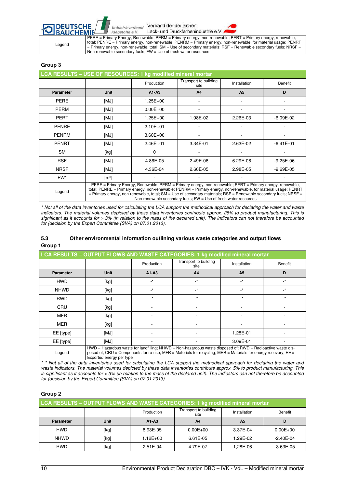Verband der deutschen Industrieverband Lack- und Druckfarbenindustrie e.V

Klebstoffe e.V.



Legend

**DEUTSCHE** 

PERE = Primary Energy, Renewable; PERM = Primary energy, non-renewable; PERT = Primary energy, renewable, total; PENRE = Primary energy, non-renewable; PENRM = Primary energy, non-renewable, for material usage; PENRT = Primary energy, non-renewable, total; SM = Use of secondary materials; RSF = Renewable secondary fuels; NRSF = Non-renewable secondary fuels; FW = Use of fresh water resources

### **Group 3**

| LCA RESULTS - USE OF RESOURCES: 1 kg modified mineral mortar |                                                                                                                                                                                                                                                                                                                                                                                                                       |              |                               |                |               |
|--------------------------------------------------------------|-----------------------------------------------------------------------------------------------------------------------------------------------------------------------------------------------------------------------------------------------------------------------------------------------------------------------------------------------------------------------------------------------------------------------|--------------|-------------------------------|----------------|---------------|
|                                                              |                                                                                                                                                                                                                                                                                                                                                                                                                       | Production   | Transport to building<br>site | Installation   | Benefit       |
| <b>Parameter</b>                                             | <b>Unit</b>                                                                                                                                                                                                                                                                                                                                                                                                           | $A1-A3$      | A <sub>4</sub>                | A <sub>5</sub> | D             |
| <b>PERE</b>                                                  | [MJ]                                                                                                                                                                                                                                                                                                                                                                                                                  | $1.25E + 00$ |                               |                |               |
| <b>PERM</b>                                                  | [MJ]                                                                                                                                                                                                                                                                                                                                                                                                                  | $0.00E + 00$ |                               |                |               |
| <b>PERT</b>                                                  | [MJ]                                                                                                                                                                                                                                                                                                                                                                                                                  | $1.25E + 00$ | 1.98E-02                      | 2.26E-03       | $-6.09E-02$   |
| <b>PENRE</b>                                                 | [MJ]                                                                                                                                                                                                                                                                                                                                                                                                                  | $2.10E + 01$ |                               |                |               |
| <b>PENRM</b>                                                 | [MJ]                                                                                                                                                                                                                                                                                                                                                                                                                  | $3.60E + 00$ |                               |                |               |
| <b>PENRT</b>                                                 | [MJ]                                                                                                                                                                                                                                                                                                                                                                                                                  | $2.46E + 01$ | 3.34E-01                      | 2.63E-02       | $-6.41E-01$   |
| <b>SM</b>                                                    | [kg]                                                                                                                                                                                                                                                                                                                                                                                                                  | 0            |                               |                |               |
| <b>RSF</b>                                                   | [MJ]                                                                                                                                                                                                                                                                                                                                                                                                                  | 4.86E-05     | 2.49E-06                      | 6.29E-06       | $-9.25E-06$   |
| <b>NRSF</b>                                                  | [MJ]                                                                                                                                                                                                                                                                                                                                                                                                                  | 4.36E-04     | 2.60E-05                      | 2.98E-05       | $-9.69E - 05$ |
| FW*                                                          | $\mathsf{[m3]}$                                                                                                                                                                                                                                                                                                                                                                                                       |              |                               |                |               |
| Legend                                                       | PERE = Primary Energy, Renewable; PERM = Primary energy, non-renewable; PERT = Primary energy, renewable,<br>total: PENRE = Primary energy, non-renewable: PENRM = Primary energy, non-renewable, for material usage: PENRT<br>$=$ Primary energy, non-renewable, total; SM = Use of secondary materials; RSF = Renewable secondary fuels; NRSF =<br>Non-renewable secondary fuels; FW = Use of fresh water resources |              |                               |                |               |

*\* Not all of the data inventories used for calculating the LCA support the methodical approach for declaring the water and waste*  indicators. The material volumes depicted by these data inventories contribute approx. 28% to product manufacturing. This is *significant as it accounts for > 3% (in relation to the mass of the declared unit). The indicators can not therefore be accounted for (decision by the Expert Committee (SVA) on 07.01.2013).*

### **5.3 Other environmental information outlining various waste categories and output flows Group 1**

| LCA RESULTS - OUTPUT FLOWS AND WASTE CATEGORIES: 1 kg modified mineral mortar |                                                                                                                                                                                                                                                              |                 |                               |                          |           |
|-------------------------------------------------------------------------------|--------------------------------------------------------------------------------------------------------------------------------------------------------------------------------------------------------------------------------------------------------------|-----------------|-------------------------------|--------------------------|-----------|
|                                                                               |                                                                                                                                                                                                                                                              | Production      | Transport to building<br>site | Installation             | Benefit   |
| <b>Parameter</b>                                                              | <b>Unit</b>                                                                                                                                                                                                                                                  | $A1 - A3$       | A <sub>4</sub>                | A <sub>5</sub>           | D         |
| <b>HWD</b>                                                                    | [kg]                                                                                                                                                                                                                                                         | $\cdot^{\star}$ | $\cdot^*$                     | $\cdot^{\star}$          | _*        |
| <b>NHWD</b>                                                                   | [kg]                                                                                                                                                                                                                                                         | $\cdot^{\star}$ | $\cdot^{\star}$               | $\overline{\phantom{a}}$ | $\cdot^*$ |
| <b>RWD</b>                                                                    | [kg]                                                                                                                                                                                                                                                         | $\cdot^*$       | -*                            | $\cdot^*$                | _*        |
| <b>CRU</b>                                                                    | [kg]                                                                                                                                                                                                                                                         |                 |                               |                          |           |
| <b>MFR</b>                                                                    | [kg]                                                                                                                                                                                                                                                         |                 |                               |                          |           |
| <b>MER</b>                                                                    | [kg]                                                                                                                                                                                                                                                         |                 |                               |                          |           |
| EE [type]                                                                     | [MJ]                                                                                                                                                                                                                                                         |                 |                               | 1.28E-01                 |           |
| EE [type]                                                                     | [MJ]                                                                                                                                                                                                                                                         |                 |                               | 3.09E-01                 |           |
| Legend                                                                        | $HWD =$ Hazardous waste for landfilling; NHWD = Non-hazardous waste disposed of; RWD = Radioactive waste dis-<br>posed of; CRU = Components for re-use; MFR = Materials for recycling; MER = Materials for energy recovery; EE =<br>Exported energy per type |                 |                               |                          |           |

*\* \* Not all of the data inventories used for calculating the LCA support the methodical approach for declaring the water and waste indicators. The material volumes depicted by these data inventories contribute approx. 5% to product manufacturing. This is significant as it accounts for > 3% (in relation to the mass of the declared unit). The indicators can not therefore be accounted for (decision by the Expert Committee (SVA) on 07.01.2013).* 

### **Group 2**

| LCA RESULTS - OUTPUT FLOWS AND WASTE CATEGORIES: 1 kg modified mineral mortar |      |              |                               |                |               |  |
|-------------------------------------------------------------------------------|------|--------------|-------------------------------|----------------|---------------|--|
|                                                                               |      | Production   | Transport to building<br>site | Installation   | Benefit       |  |
| Parameter                                                                     | Unit | $A1-A3$      | A <sub>4</sub>                | A <sub>5</sub> | D             |  |
| <b>HWD</b>                                                                    | [kg] | 8.93E-05     | $0.00E + 00$                  | 3.37E-04       | $0.00E + 00$  |  |
| <b>NHWD</b>                                                                   | [kg] | $1.12E + 00$ | 6.61E-05                      | 1.29E-02       | $-2.40E - 04$ |  |
| <b>RWD</b>                                                                    | [kg] | 2.51E-04     | 4.79E-07                      | 1.28E-06       | $-3.63E - 05$ |  |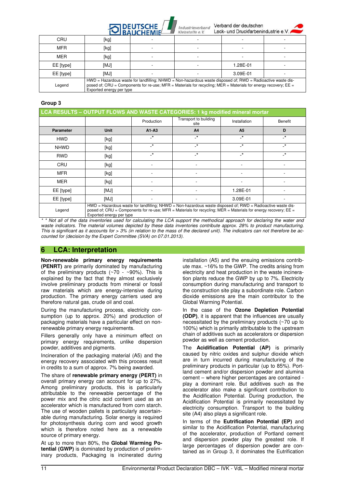## **STIDEUTSCHE**

Industrieverband Verband der deutschen Look und Develdedening

|            |                          | $\sim$ IBAUCHEMIE                                                                                                                                                                                                                | Kiedstoffe e.V. | Lack- und Diucklanderinguatile e.v. |  |
|------------|--------------------------|----------------------------------------------------------------------------------------------------------------------------------------------------------------------------------------------------------------------------------|-----------------|-------------------------------------|--|
| CRU        | [kg]                     |                                                                                                                                                                                                                                  |                 |                                     |  |
| <b>MFR</b> | [kg]                     |                                                                                                                                                                                                                                  |                 |                                     |  |
| <b>MER</b> | [kg]                     |                                                                                                                                                                                                                                  |                 |                                     |  |
| EE [type]  | [MJ]                     |                                                                                                                                                                                                                                  |                 | 1.28E-01                            |  |
| EE [type]  | [MJ]                     |                                                                                                                                                                                                                                  |                 | 3.09E-01                            |  |
| Legend     | Exported energy per type | $HWD =$ Hazardous waste for landfilling; NHWD = Non-hazardous waste disposed of; RWD = Radioactive waste dis-<br>posed of; CRU = Components for re-use; MFR = Materials for recycling; MER = Materials for energy recovery; EE = |                 |                                     |  |

### **Group 3**

| LCA RESULTS - OUTPUT FLOWS AND WASTE CATEGORIES: 1 kg modified mineral mortar |                                                                                                                                                                                                                                                              |                 |                               |                            |              |  |
|-------------------------------------------------------------------------------|--------------------------------------------------------------------------------------------------------------------------------------------------------------------------------------------------------------------------------------------------------------|-----------------|-------------------------------|----------------------------|--------------|--|
|                                                                               |                                                                                                                                                                                                                                                              | Production      | Transport to building<br>site | Installation               | Benefit      |  |
| <b>Parameter</b>                                                              | <b>Unit</b>                                                                                                                                                                                                                                                  | $A1 - A3$       | A <sub>4</sub>                | A <sub>5</sub>             | D            |  |
| <b>HWD</b>                                                                    | [kg]                                                                                                                                                                                                                                                         | $\cdot^{\star}$ | $\cdot^*$                     | $\overline{\phantom{a}}^*$ | $\cdot^*$    |  |
| <b>NHWD</b>                                                                   | [kg]                                                                                                                                                                                                                                                         | $\cdot^*$       | $\cdot^*$                     | $\cdot^*$                  | $\mathbf{r}$ |  |
| <b>RWD</b>                                                                    | [kg]                                                                                                                                                                                                                                                         | $\cdot^*$       | $\cdot^*$                     | $\cdot^*$                  | $\cdot^*$    |  |
| CRU                                                                           | [kg]                                                                                                                                                                                                                                                         |                 |                               |                            |              |  |
| <b>MFR</b>                                                                    | [kg]                                                                                                                                                                                                                                                         |                 |                               |                            |              |  |
| <b>MER</b>                                                                    | [kg]                                                                                                                                                                                                                                                         |                 |                               |                            |              |  |
| EE [type]                                                                     | [MJ]                                                                                                                                                                                                                                                         |                 |                               | 1.28E-01                   |              |  |
| EE [type]                                                                     | [MJ]                                                                                                                                                                                                                                                         |                 |                               | 3.09E-01                   |              |  |
| Legend                                                                        | $HWD =$ Hazardous waste for landfilling; NHWD = Non-hazardous waste disposed of; RWD = Radioactive waste dis-<br>posed of: CRU = Components for re-use: MFR = Materials for recycling: MER = Materials for energy recovery; EE =<br>Exported energy per type |                 |                               |                            |              |  |

*\* \* Not all of the data inventories used for calculating the LCA support the methodical approach for declaring the water and waste indicators. The material volumes depicted by these data inventories contribute approx. 28% to product manufacturing. This is significant as it accounts for > 3% (in relation to the mass of the declared unit). The indicators can not therefore be accounted for (decision by the Expert Committee (SVA) on 07.01.2013).* 

### **6 LCA: Interpretation**

**Non-renewable primary energy requirements (PENRT)** are primarily dominated by manufacturing of the preliminary products  $(\sim 70 - \sim 90\%)$ . This is explained by the fact that they almost exclusively involve preliminary products from mineral or fossil raw materials which are energy-intensive during production. The primary energy carriers used are therefore natural gas, crude oil and coal.

During the manufacturing process, electricity consumption (up to approx. 20%) and production of packaging materials have a particular effect on nonrenewable primary energy requirements.

Fillers generally only have a minimum effect on primary energy requirements, unlike dispersion powder, additives and pigments.

Incineration of the packaging material (A5) and the energy recovery associated with this process result in credits to a sum of approx. 7% being awarded.

The share of **renewable primary energy (PERT)** in overall primary energy can account for up to 27%. Among preliminary products, this is particularly attributable to the renewable percentage of the power mix and the citric acid content used as an accelerator which is manufactured from corn starch. The use of wooden pallets is particularly ascertainable during manufacturing. Solar energy is required for photosynthesis during corn and wood growth which is therefore noted here as a renewable source of primary energy.

At up to more than 80%, the **Global Warming Potential (GWP)** is dominated by production of preliminary products, Packaging is incinerated during installation (A5) and the ensuing emissions contribute max. ~16% to the GWP. The credits arising from electricity and heat production in the waste incineration plants reduce the GWP by up to 7%. Electricity consumption during manufacturing and transport to the construction site play a subordinate role. Carbon dioxide emissions are the main contributor to the Global Warming Potential.

In the case of the **Ozone Depletion Potential (ODP)**, it is apparent that the influences are usually necessitated by the preliminary products (~70 up to 100%) which is primarily attributable to the upstream chain of additives such as accelerators or dispersion powder as well as cement production.

The **Acidification Potential (AP)** is primarily caused by nitric oxides and sulphur dioxide which are in turn incurred during manufacturing of the preliminary products in particular (up to 85%). Portland cement and/or dispersion powder and alumina cement – where higher percentages are contained play a dominant role. But additives such as the accelerator also make a significant contribution to the Acidification Potential. During production, the Acidification Potential is primarily necessitated by electricity consumption. Transport to the building site (A4) also plays a significant role.

In terms of the **Eutrification Potential (EP)** and similar to the Acidification Potential, manufacturing of the accelerator, production of Portland cement and dispersion powder play the greatest role. If large percentages of dispersion powder are contained as in Group 3, it dominates the Eutrification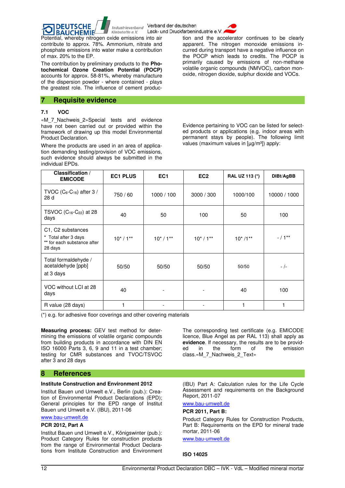Verband der deutschen Industrieverband Lack- und Druckfarbenindustrie e.V



**BAUCHEMIE** Klebstoffe e.V. Potential, whereby nitrogen oxide emissions into air contribute to approx. 78%. Ammonium, nitrate and phosphate emissions into water make a contribution of max. 20% to the EP.

The contribution by preliminary products to the **Photochemical Ozone Creation Potential (POCP)** accounts for approx. 58-81%, whereby manufacture of the dispersion powder - where contained - plays the greatest role. The influence of cement produc-

### **7 Requisite evidence**

**DEUTSCHE** 

### **7.1 VOC**

«M\_7\_Nachweis\_2»Special tests and evidence have not been carried out or provided within the framework of drawing up this model Environmental Product Declaration.

Where the products are used in an area of application demanding testing/provision of VOC emissions, such evidence should always be submitted in the individual EPDs.

tion and the accelerator continues to be clearly apparent. The nitrogen monoxide emissions incurred during transport have a negative influence on the POCP which leads to credits. The POCP is primarily caused by emissions of non-methane volatile organic compounds (NMVOC), carbon monoxide, nitrogen dioxide, sulphur dioxide and VOCs.

Evidence pertaining to VOC can be listed for selected products or applications (e.g. indoor areas with permanent stays by people). The following limit values (maximum values in  $[µq/m<sup>3</sup>]$ ) apply:

| Classification /<br><b>EMICODE</b>                                                  | <b>EC1 PLUS</b> | EC <sub>1</sub> | EC <sub>2</sub> | RAL UZ 113 (*) | DIBt/AgBB    |
|-------------------------------------------------------------------------------------|-----------------|-----------------|-----------------|----------------|--------------|
| TVOC $(C_6-C_{16})$ after 3 /<br>28 d                                               | 750/60          | 1000 / 100      | 3000 / 300      | 1000/100       | 10000 / 1000 |
| TSVOC $(C_{16}$ -C <sub>22</sub> ) at 28<br>days                                    | 40              | 50              | 100             | 50             | 100          |
| C1, C2 substances<br>* Total after 3 days<br>** for each substance after<br>28 days | $10^*/1**$      | $10^*/1**$      | $10^*/1**$      | $10^*/1**$     | $- / 1**$    |
| Total formaldehyde /<br>acetaldehyde [ppb]<br>at 3 days                             | 50/50           | 50/50           | 50/50           | 50/50          | - /-         |
| VOC without LCI at 28<br>days                                                       | 40              |                 |                 | 40             | 100          |
| R value (28 days)                                                                   |                 |                 |                 |                |              |

(\*) e.g. for adhesive floor coverings and other covering materials

**Measuring process:** GEV test method for determining the emissions of volatile organic compounds from building products in accordance with DIN EN ISO 16000 Parts 3, 6, 9 and 11 in a test chamber; testing for CMR substances and TVOC/TSVOC after 3 and 28 days

### **8 References**

### **Institute Construction and Environment 2012**

Institut Bauen und Umwelt e.V., Berlin (pub.): Creation of Environmental Product Declarations (EPD); General principles for the EPD range of Institut Bauen und Umwelt e.V. (IBU), 2011-06

### www.bau-umwelt.de

### **PCR 2012, Part A**

Institut Bauen und Umwelt e.V., Königswinter (pub.): Product Category Rules for construction products from the range of Environmental Product Declarations from Institute Construction and Environment The corresponding test certificate (e.g. EMICODE licence, Blue Angel as per RAL 113) shall apply as **evidence**. If necessary, the results are to be provided in the form of the emission class.«M\_7\_Nachweis\_2\_Text»

(IBU) Part A: Calculation rules for the Life Cycle Assessment and requirements on the Background Report, 2011-07

### www.bau-umwelt.de

### **PCR 2011, Part B:**

Product Category Rules for Construction Products, Part B: Requirements on the EPD for mineral trade mortar, 2011-06

www.bau-umwelt.de

### **ISO 14025**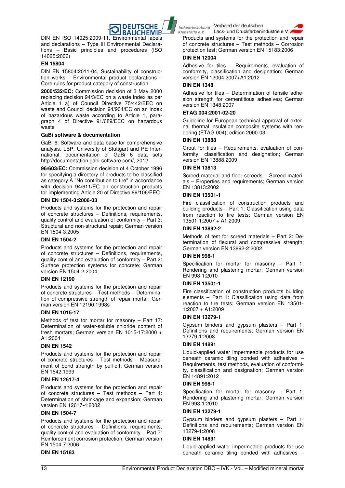

DIN EN ISO 14025:2009-11, Environmental labels and declarations – Type III Environmental Declarations – Basic principles and procedures (ISO 14025:2006)

### **EN 15804**

DIN EN 15804:2011-04, Sustainability of construction works – Environmental product declarations – Core rules for product category of construction

**2000/532/EC:** Commission decision of 3 May 2000 replacing decision 94/3/EC on a waste index as per Article 1 a) of Council Directive 75/442/EEC on waste and Council decision 94/904/EC on an index of hazardous waste according to Article 1, paragraph 4 of Directive 91/689/EEC on hazardous waste

### **GaBi software & documentation**

GaBi 6: Software and data base for comprehensive analysis. LBP, University of Stuttgart and PE International, documentation of GaBi 6 data sets http://documentation.gabi-software.com/, 2012

**96/603/EC:** Commission decision of 4 October 1996 for specifying a directory of products to be classified as category A "No contribution to fire" in accordance with decision 94/611/EC on construction products for implementing Article 20 of Directive 89/106/EEC

### **DIN EN 1504-3:2006-03**

Products and systems for the protection and repair of concrete structures – Definitions, requirements, quality control and evaluation of conformity – Part 3: Structural and non-structural repair; German version EN 1504-3:2005

### **DIN EN 1504-2**

Products and systems for the protection and repair of concrete structures – Definitions, requirements, quality control and evaluation of conformity – Part 2: Surface protection systems for concrete; German version EN 1504-2:2004

### **DIN EN 12190**

Products and systems for the protection and repair of concrete structures – Test methods – Determination of compressive strength of repair mortar; German version EN 12190:1998s

### **DIN EN 1015-17**

Methods of test for mortar for masonry – Part 17: Determination of water-soluble chloride content of fresh mortars; German version EN 1015-17:2000 + A1:2004

### **DIN EN 1542**

Products and systems for the protection and repair of concrete structures – Test methods – Measurement of bond strength by pull-off; German version EN 1542:1999

### **DIN EN 12617-4**

Products and systems for the protection and repair of concrete structures – Test methods – Part 4: Determination of shrinkage and expansion; German version EN 12617-4:2002

### **DIN EN 1504-7**

Products and systems for the protection and repair of concrete structures – Definitions, requirements, quality control and evaluation of conformity – Part 7: Reinforcement corrosion protection; German version EN 1504-7:2006

### **DIN EN 15183**

Verband der deutschen Industrieverband

Lack- und Druckfarbenindustrie e.V. Klebstoffe e.V.

Products and systems for the protection and repair of concrete structures – Test methods – Corrosion protection test; German version EN 15183:2006

### **DIN EN 12004**

Adhesive for tiles – Requirements, evaluation of conformity, classification and designation; German version EN 12004:2007+A1:2012

### **DIN EN 1348**

Adhesive for tiles – Determination of tensile adhesion strength for cementitious adhesives; German version EN 1348:2007

### **ETAG 004:2001-02-20**

Guideline for European technical approval of external thermal insulation composite systems with rendering (ETAG 004); edition 2000-03

### **DIN EN 13888**

Grout for tiles – Requirements, evaluation of conformity, classification and designation; German version EN 13888:2009

### **DIN EN 13813**

Screed material and floor screeds – Screed materials – Properties and requirements; German version EN 13813:2002

### **DIN EN 13501-1**

Fire classification of construction products and building products – Part 1: Classification using data from reaction to fire tests; German version EN 13501-1:2007 + A1:2009

### **DIN EN 13892-2**

Methods of test for screed materials – Part 2: Determination of flexural and compressive strength; German version EN 13892-2:2002

### **DIN EN 998-1**

Specification for mortar for masonry – Part 1: Rendering and plastering mortar; German version EN 998-1:2010

### **DIN EN 13501-1**

Fire classification of construction products building elements – Part 1: Classification using data from reaction to fire tests; German version EN 13501- 1:2007 + A1:2009

### **DIN EN 13279-1**

Gypsum binders and gypsum plasters – Part 1: Definitions and requirements; German version EN 13279-1:2008

### **DIN EN 14891**

Liquid-applied water impermeable products for use beneath ceramic tiling bonded with adhesives – Requirements, test methods, evaluation of conformity, classification and designation; German version EN 14891:2012

### **DIN EN 998-1**

Specification for mortar for masonry – Part 1: Rendering and plastering mortar; German version EN 998-1:2010

### **DIN EN 13279-1**

Gypsum binders and gypsum plasters – Part 1: Definitions and requirements; German version EN 13279-1:2008

### **DIN EN 14891**

Liquid-applied water impermeable products for use beneath ceramic tiling bonded with adhesives –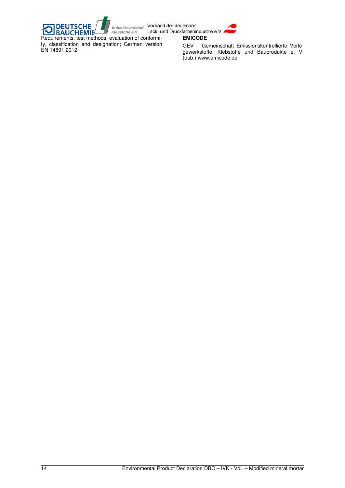

Industrieverband Verband der deutschen<br>
Klebstoffe e.V. Lack- und Druckfarbenindustrie e.V.<br>
evaluation of conformi-**EMICODE DEUTSCHE**<br>BAUCHEMI **CHEMIE** Requirements, test methods, evaluation of conformity, classification and designation; German version EN 14891:2012

ĩ

GEV – Gemeinschaft Emissionskontrollierte Verlegewerkstoffe, Klebstoffe und Bauprodukte e. V. (pub.).www.emicode.de